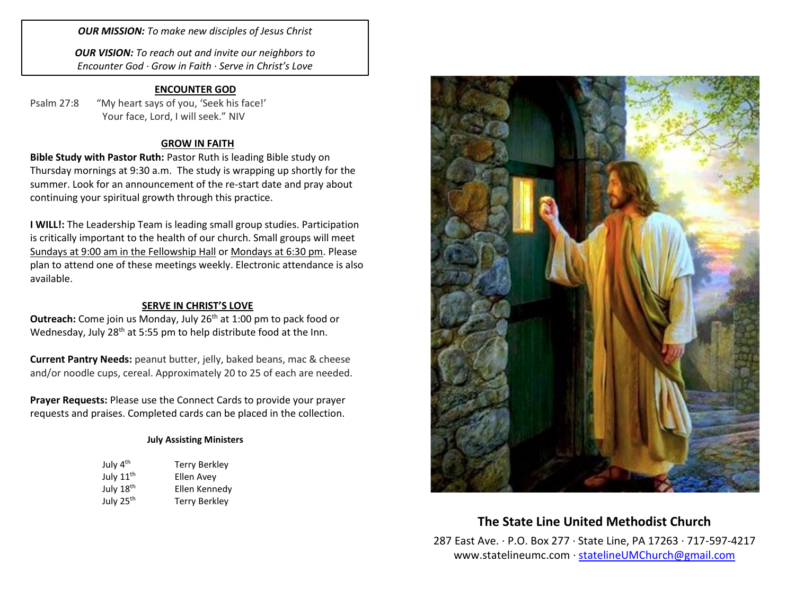*OUR MISSION: To make new disciples of Jesus Christ*

*OUR VISION: To reach out and invite our neighbors to Encounter God · Grow in Faith · Serve in Christ's Love*

### **ENCOUNTER GOD**

Psalm 27:8 "My heart says of you, 'Seek his face!' Your face, Lord, I will seek." NIV

### **GROW IN FAITH**

**Bible Study with Pastor Ruth:** Pastor Ruth is leading Bible study on Thursday mornings at 9:30 a.m. The study is wrapping up shortly for the summer. Look for an announcement of the re-start date and pray about continuing your spiritual growth through this practice.

**I WILL!:** The Leadership Team is leading small group studies. Participation is critically important to the health of our church. Small groups will meet Sundays at 9:00 am in the Fellowship Hall or Mondays at 6:30 pm. Please plan to attend one of these meetings weekly. Electronic attendance is also available.

#### **SERVE IN CHRIST'S LOVE**

**Outreach:** Come join us Monday, July 26<sup>th</sup> at 1:00 pm to pack food or Wednesday, July 28<sup>th</sup> at 5:55 pm to help distribute food at the Inn.

**Current Pantry Needs:** peanut butter, jelly, baked beans, mac & cheese and/or noodle cups, cereal. Approximately 20 to 25 of each are needed.

**Prayer Requests:** Please use the Connect Cards to provide your prayer requests and praises. Completed cards can be placed in the collection.

#### **July Assisting Ministers**

| July 4 <sup>th</sup>  | <b>Terry Berkley</b> |
|-----------------------|----------------------|
| July 11 <sup>th</sup> | Ellen Avey           |
| July 18 <sup>th</sup> | Ellen Kennedy        |
| July 25 <sup>th</sup> | <b>Terry Berkley</b> |



# **The State Line United Methodist Church**

287 East Ave. · P.O. Box 277 · State Line, PA 17263 · 717-597-4217 [www.statelineumc.com](http://www.statelineumc.com/) · [statelineUMChurch@gmail.com](mailto:statelineUMChurch@gmail.com)